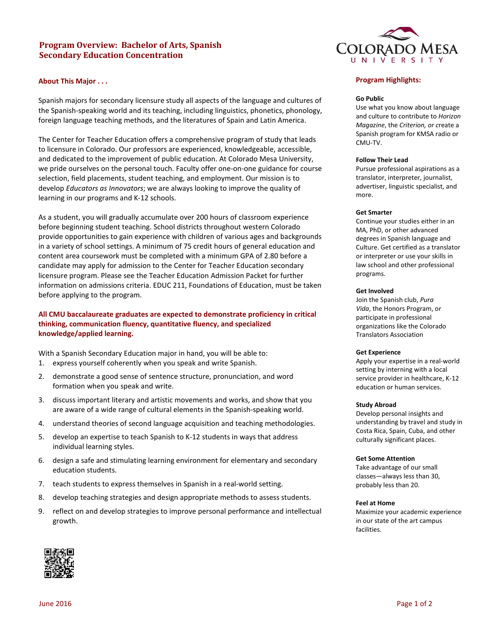# **Program Overview: Bachelor of Arts, Spanish Secondary Education Concentration**

### **About This Major . . .**

Spanish majors for secondary licensure study all aspects of the language and cultures of the Spanish-speaking world and its teaching, including linguistics, phonetics, phonology, foreign language teaching methods, and the literatures of Spain and Latin America.

The Center for Teacher Education offers a comprehensive program of study that leads to licensure in Colorado. Our professors are experienced, knowledgeable, accessible, and dedicated to the improvement of public education. At Colorado Mesa University, we pride ourselves on the personal touch. Faculty offer one-on-one guidance for course selection, field placements, student teaching, and employment. Our mission is to develop *Educators as Innovators*; we are always looking to improve the quality of learning in our programs and K-12 schools.

As a student, you will gradually accumulate over 200 hours of classroom experience before beginning student teaching. School districts throughout western Colorado provide opportunities to gain experience with children of various ages and backgrounds in a variety of school settings. A minimum of 75 credit hours of general education and content area coursework must be completed with a minimum GPA of 2.80 before a candidate may apply for admission to the Center for Teacher Education secondary licensure program. Please see the Teacher Education Admission Packet for further information on admissions criteria. EDUC 211, Foundations of Education, must be taken before applying to the program.

# **All CMU baccalaureate graduates are expected to demonstrate proficiency in critical thinking, communication fluency, quantitative fluency, and specialized knowledge/applied learning.**

With a Spanish Secondary Education major in hand, you will be able to: 1. express yourself coherently when you speak and write Spanish.

- 2. demonstrate a good sense of sentence structure, pronunciation, and word formation when you speak and write.
- 3. discuss important literary and artistic movements and works, and show that you are aware of a wide range of cultural elements in the Spanish-speaking world.
- 4. understand theories of second language acquisition and teaching methodologies.
- 5. develop an expertise to teach Spanish to K-12 students in ways that address individual learning styles.
- 6. design a safe and stimulating learning environment for elementary and secondary education students.
- 7. teach students to express themselves in Spanish in a real-world setting.
- 8. develop teaching strategies and design appropriate methods to assess students.
- 9. reflect on and develop strategies to improve personal performance and intellectual growth.



### **Program Highlights:**

#### **Go Public**

Use what you know about language and culture to contribute to *Horizon Magazine*, the *Criterion, or c*reate a Spanish program for KMSA radio or CMU-TV.

### **Follow Their Lead**

Pursue professional aspirations as a translator, interpreter, journalist, advertiser, linguistic specialist, and more.

### **Get Smarter**

Continue your studies either in an MA, PhD, or other advanced degrees in Spanish language and Culture. Get certified as a translator or interpreter or use your skills in law school and other professional programs.

### **Get Involved**

Join the Spanish club, *Pura Vida*, the Honors Program, or participate in professional organizations like the Colorado Translators Association

#### **Get Experience**

Apply your expertise in a real-world setting by interning with a local service provider in healthcare, K-12 education or human services.

### **Study Abroad**

Develop personal insights and understanding by travel and study in Costa Rica, Spain, Cuba, and other culturally significant places.

#### **Get Some Attention**

Take advantage of our small classes—always less than 30, probably less than 20.

### **Feel at Home**

Maximize your academic experience in our state of the art campus facilities.